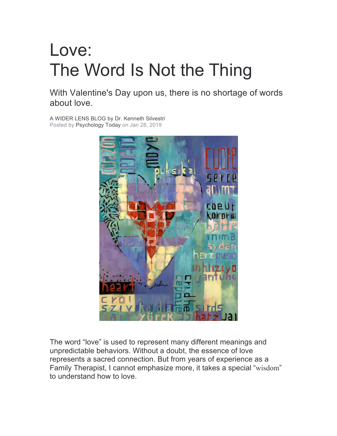## Love: The Word Is Not the Thing

With Valentine's Day upon us, there is no shortage of words about love.

A WIDER LENS BLOG by Dr. Kenneth Silvestri Posted by Psychology Today on Jan 28, 2019



The word "love" is used to represent many different meanings and unpredictable behaviors. Without a doubt, the essence of love represents a sacred connection. But from years of experience as a Family Therapist, I cannot emphasize more, it takes a special "wisdom" to understand how to love.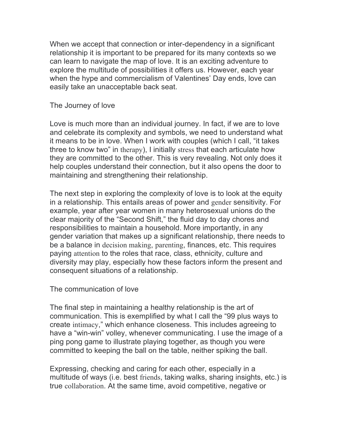When we accept that connection or inter-dependency in a significant relationship it is important to be prepared for its many contexts so we can learn to navigate the map of love. It is an exciting adventure to explore the multitude of possibilities it offers us. However, each year when the hype and commercialism of Valentines' Day ends, love can easily take an unacceptable back seat.

The Journey of love

Love is much more than an individual journey. In fact, if we are to love and celebrate its complexity and symbols, we need to understand what it means to be in love. When I work with couples (which I call, "it takes three to know two" in therapy), I initially stress that each articulate how they are committed to the other. This is very revealing. Not only does it help couples understand their connection, but it also opens the door to maintaining and strengthening their relationship.

The next step in exploring the complexity of love is to look at the equity in a relationship. This entails areas of power and gender sensitivity. For example, year after year women in many heterosexual unions do the clear majority of the "Second Shift," the fluid day to day chores and responsibilities to maintain a household. More importantly, in any gender variation that makes up a significant relationship, there needs to be a balance in decision making, parenting, finances, etc. This requires paying attention to the roles that race, class, ethnicity, culture and diversity may play, especially how these factors inform the present and consequent situations of a relationship.

The communication of love

The final step in maintaining a healthy relationship is the art of communication. This is exemplified by what I call the "99 plus ways to create intimacy," which enhance closeness. This includes agreeing to have a "win-win" volley, whenever communicating. I use the image of a ping pong game to illustrate playing together, as though you were committed to keeping the ball on the table, neither spiking the ball.

Expressing, checking and caring for each other, especially in a multitude of ways (i.e. best friends, taking walks, sharing insights, etc.) is true collaboration. At the same time, avoid competitive, negative or